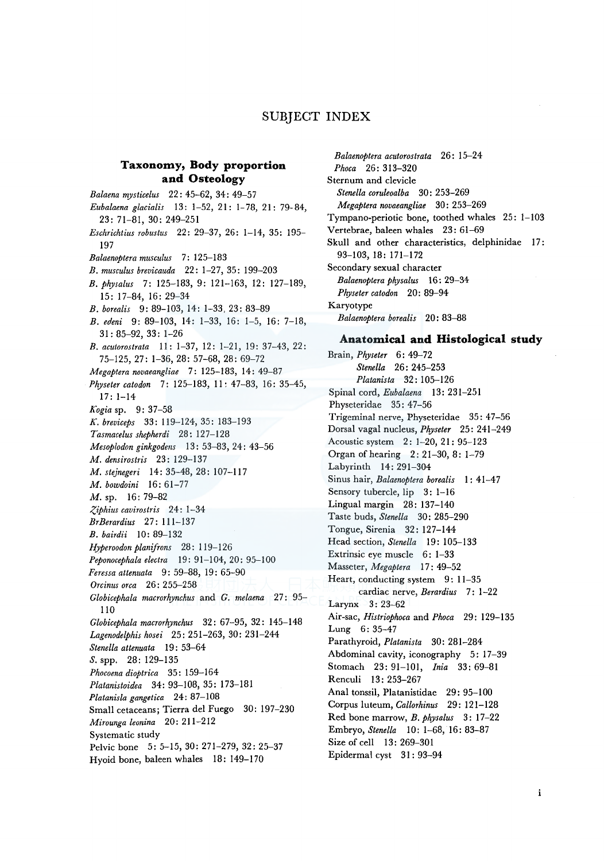# SUBJECT INDEX

## **Taxonomy, Body proportion and Osteology**

*Balaena mysticelus* 22: 45-62, 34: 49-57 *Eubalaena glacialis* 13: 1-52, 21: 1-78, 21: 79-84, 23: 71-81, 30: 249-251 *Eschrichtius robustus* 22: 29-37, 26: 1-14, 35: 195- 197 *Balaenoptera musculus* 7: 125-183 *B. musculus brevicauda* 22: 1-27, 35: 199-203 *B. physalus* 7: 125-183, 9: 121-163, 12: 127-189, 15: 17-84, 16: 29-34 *B. borealis* 9: 89-103, 14: 1-33, 23: 83-89 *B. edeni* 9: 89-103, 14: 1-33, 16: 1-5, 16: 7-18, 31: 85-92, 33: 1-26 *B. acutorostrata* 11: 1-37, 12: 1-21, 19: 37-43, 22: 75-125, 27: 1-36, 28: 57-68, 28: 69-72 *Megaptera novaeangliae* 7: 125-183, 14: 49-87 *Physetercatodon* 7: 125-183, 11: 47-83, 16: 35-45, 17: 1-14 *Kogia* sp. 9: 37-58 K. *breviceps* 33: 119-124, 35: 183-193 *Tasmacelus shepherdi* 28: 127-128 *Mesoplodon ginkgodens* 13: 53-83, 24: 43-56 *M. densirostris* 23: 129-137 *M. stejnegeri* 14: 35-48, 28: 107-117 *M. bowdoini* 16: 61-77 M. sp. 16: 79-82 *:(:,iphius cavirostris* 24: 1-34 *BrBerardius* 27: 111-137 *B. bairdii* 10: 89-132 *Hyperoodon planifrons* 28: 119-126 *Peponocephala electra* 19: 91-104, 20: 95-100 *Feressa attenuata* 9: 59-88, 19: 65-90 *Orcinus orca* 26: 255-258 *Globicephala macrorhynchus* and *G. melaena* 27: 95- 110 *Globicephala macrorhynchus* 32: 67-95, 32: 145-148 *Lagenodelphis hosei* 25: 251-263, 30: 231-244 *Stene/la attenuata* 19: 53-64 *S.* spp. 28: 129-135 *Phocoena dioptrica* 35: 159-164 *Platanistoidea* 34: 93-108, 35: 173-181 *Platanisla gangetica* 24: 87-108 Small cetaceans; Tierra de! Fuego 30: 197-230 *Mirounga leonina* 20: 211-212 Systematic study Pelvic bone 5: 5-15, 30: 271-279, 32: 25-37 Hyoid bone, baleen whales 18: 149-170

*Balaenoptera acutorostrata* 26: 15-24 *Phoca* 26: 313-320 Sternum and clevicle *Stenella coruleoalba* 30: 253-269 *Megaptera novaeangliae* 30: 253-269 Tympano-periotic bone, toothed whales 25: 1-103 Vertebrae, baleen whales 23: 61-69 Skull and other characteristics, delphinidae 17: 93-103, 18: 171-172 Secondary sexual character *Balaenoptera physalus* 16: 29-34 *Physeter catodon* 20: 89-94 Karyotype *Balaenoptera borealis* 20: 83-88 **Anatomical and Histological study**  Brain, *Physeter* 6: 49-72 *Stenella* 26: 245-253 *Platanista* 32: 105-126 Spinal cord, *Eubalaena* 13: 231-251

Physeteridae 35: 47-56 Trigeminal nerve, Physeteridae 35: 47-56 Dorsal vagal nucleus, *Physeter* 25: 241-249 Acoustic system 2: 1-20, 21: 95-123 Organ of hearing 2: 21-30, 8: 1-79 Labyrinth 14: 291-304 Sinus hair, *Balaenoptera borealis* I: 41-47 Sensory tubercle, lip 3: 1-16 Lingual margin 28: 137-140 Taste buds, *Stenella* 30: 285-290 Tongue, Sirenia 32: 127-144 Head section, *Stene/la* 19: 105-133 Extrinsic eye muscle 6: 1-33 Masseter, *Megaptera* 17: 49-52 Heart, conducting system 9: 11-35 cardiac nerve, *Berardius* 7: 1-22 Larynx 3: 23-62 Air-sac, *Histriophoca* and *Phoca* 29: 129-135 Lung 6: 35-47 Parathyroid, *Platanista* 30: 281-284 Abdominal cavity, iconography 5: 17-39 Stomach 23: 91-101, *lnia* 33: 69-81 Renculi 13: 253-267 Anal tonssil, Platanistidae 29: 95-100 Corpus luteum, *Callorhinus* 29: 121-128 Red bone marrow, *B. physalus* 3: 17-22 Embryo, *Stenella* 10: 1-68, 16: 83-87 Size of cell 13: 269-301 Epidermal cyst 31 : 93-94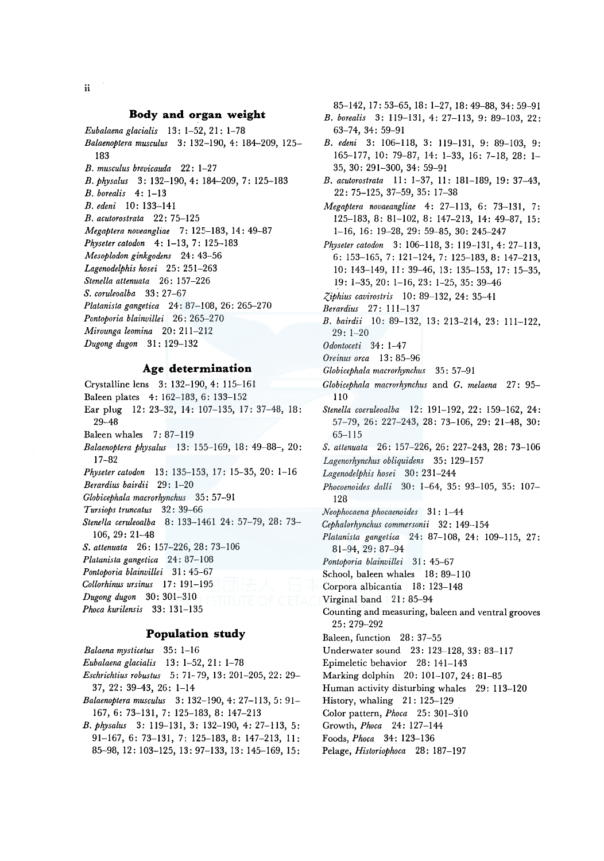#### **Body and organ weight**

*Eubalaenaglacialis* 13: 1-52, 21: 1-78

- *Balaenoptera musculus* 3: 132-190, 4: 184-209, 125- 183
- *B. musculus brevicauda* 22: 1-27
- *B.physalus* 3: 132-190, 4: 184-209, 7: 125-183
- *B. borealis* 4: 1-13
- *B. edeni* 10: 133-141
- *B. acutorostrata* 22: 75-125
- *Megaptera noveangliae* 7: 125-183, 14: 49-87
- *Physeter catodon* 4: 1-13, 7: 125-183
- *Mesoplodon ginkgodens* 24: 43-56
- *Lagenodelphis hosei* 25: 251-263
- *Stenella attenuata* 26: 157-226
- *S. coruleoalba* 33: 27-67
- *Platanista gangetica* 24: 87-108, 26: 265-270
- *Pontoporia blainvillei* 26: 265-270
- *Mirounga leomina* 20: 211-212
- *Dugong dugon* 31: 129-132

#### **Age determination**

- Crystalline lens 3: 132-190, 4: 115-161
- Baleen plates 4: 162-183, 6: 133-152
- Ear plug 12: 23-32, 14: 107-135, 17: 37-48, 18: 29-48
- Baleen whales 7: 87-119
- *Balaenoptera physalus* 13: 155-169, 18: 49-88-, 20: 17-82
- *Physetercatodon* 13: 135-153, 17: 15-35, 20: 1-16
- *Berardius bairdii* 29: 1-20
- Globicephala macrorhynchus 35: 57-91
- *Tursiops truncatus* 32: 39-66
- *Stene/la ceruleoalba* 8: 133-1461 24: 57-79, 28: 73- 106, 29: 21-48
- *S. attenuata* 26: 157-226, 28: 73-106
- *Platanista gangetica* 24: 87-108
- *Pontoporia blainvillei* 31 : 45-67
- *Collorhinus ursinus* 17: 191-195
- *Dugong dugon* 30: 301-310
- *Phoca kurilensis* 33: 131-135

### **Population study**

| Balaena mysticetus 35: 1-16                          |
|------------------------------------------------------|
| Eubalaena glacialis 13: 1-52, 21: 1-78               |
| Eschrichtius robustus 5: 71-79, 13: 201-205, 22: 29- |
| $37, 22: 39-43, 26: 1-14$                            |
| Balaenoptera musculus 3: 132-190, 4: 27-113, 5: 91-  |
| 167, 6: 73-131, 7: 125-183, 8: 147-213               |
| B. physalus 3: 119-131, 3: 132-190, 4: 27-113, 5:    |
| 91-167, 6: 73-131, 7: 125-183, 8: 147-213, 11:       |
| 85-98, 12: 103-125, 13: 97-133, 13: 145-169, 15:     |
|                                                      |

63-74, 34: 59-91 *B. edeni* 3: 106-118, 3: 119-131, 9: 89-103, 9: 165-177, 10: 79-87, 14: 1-33, 16: 7-18, 28: 1- 35, 30: 291-300, 34: 59-91 *B. acutorostrata* 11: 1-37, 11: 181-189, 19: 37-43, 22: 75-125, 37-59, 35: 17-38 *Megaptera novaeangliae* 4: 27-113, 6: 73-131, 7: 125-183, 8: 81-102, 8: 147-213, 14: 49-87, 15: 1-16, 16: 19-28, 29: 59-85, 30: 245-247 *Physeter catodon* 3: 106-118, 3: 119-131, 4: 27-113, 6: 153-165, 7: 121-124, 7: 125-183, 8: 147-213, 10: 143-149, 11: 39-46, 13: 135-153, 17: 15-35, 19: 1-35, 20: 1-16, 23: 1-25, 35: 39-46 *:(,iphius cavirostris* 10: 89-132, 24: 35-41 *Berardius* 27: 111-137 *B. bairdii* 10: 89-132, 13: 213-214, 23: 111-122, 29: 1-20 *Odontoceti* 34: 1-4 7 *Oreinus area* 13 : 85-96 *Globicephala macrorhynchus* 35: 57-91 *Globicephala macrorhynchus* and *G. melaena* 27: 95- 110 *Stenella coeruleoalba* 12: 191-192, 22: 159-162, 24: 57-79, 26: 227-243, 28: 73-106, 29: 21-48, 30: 65-115 *S. aitenuata* 26: 157-226, 26: 227-243, 28: 73-106 *Lagenorhynchus obliquidens* 35: 129-157 *Lagenodelphis hosei* 30: 231-244 *Phocoenoides dalli* 30: 1-64, 35: 93-105, 35: 107- 128 *Neophocaena phocaenoides* 31 : 1-44 *Cephalorhynchus commersonii* 32: 149-154 *Platanista gangetica* 24: 87-108, 24: 109-115, 27: 81-94, 29: 87-94 *Pontoporia blainvillei* 31 : 45-67 School, baleen whales 18: 89-110 Corpora albicantia 18: 123-148 Virginal band 21 : 85-94 25: 279-292 Baleen, function 28: 37-55 Underwater sound 23: 123-128, 33: 83-117 Epimeletic behavior 28: 141-143 Marking dolphin 20: 101-107, 24: 81-85 Human activity disturbing whales 29: 113-120 History, whaling 21: 125-129 Color pattern, *Phoca* 25: 301-3.10

- Growth, *Phoca* 24: 127-144
- Foods, *Phoca* 34: 123-136
- Pelage, *Historiophoca* 28: 187-197

85-142, 17: 53-65, 18: 1-27, 18: 49-88, 34: 59-91

- *B. borealis* 3: 119-131, 4: 27-113, 9: 89-103, 22:
- 
- 
- 
- 
- 
- 
- 
- 
- 
- 
- 
- 
- 
- 
- 
- 
- 
- 
- 
- 
- 
- Counting and measuring, baleen and ventral grooves
- 
- 
- 
- 
- 
-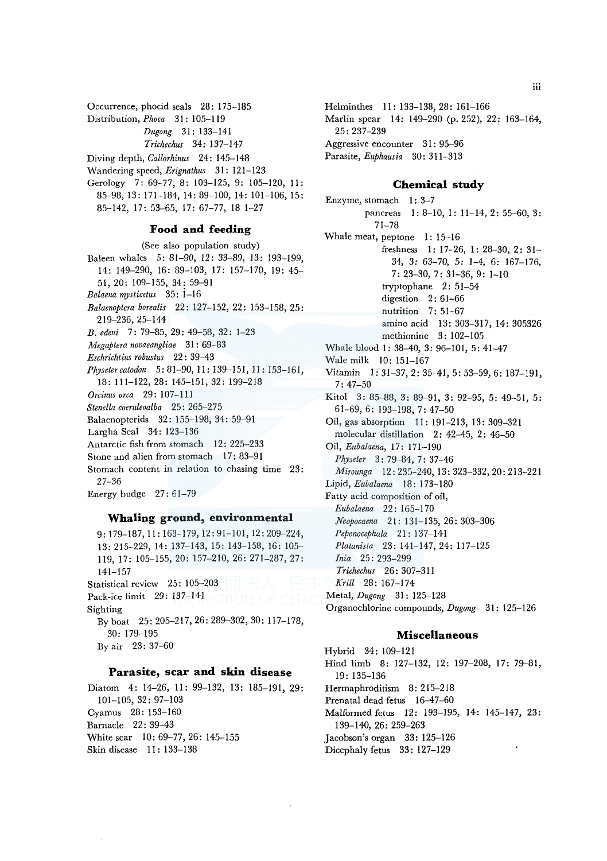Occurrence, phocid seals 28: 175-185

- Distribution, *Phoca* 31: 105-119
	- *Dugong* 31: 133-141

*Trichechus* 34: 137-147

Diving depth, *Callorhinus* 24: 145-148

Wandering speed, *Erignathus* 31: 121-123

Gerology 7: 69-77, 8: 103-125, 9: 105-120, 11: 85-98, 13: 171-184, 14: 89-100, 14: 101-106, 15: 85-142, 17: 53-65, 17: 67-77, 18 1-27

## **Food and feeding**

(See also population study) Baleen whales 5: 81-90, 12: 33-89, 13: 193-199, 14: 149-290, 16: 89-103, 17: 157-170, 19: 45- 51, 20: 109-155, 34: 59-91 *Balaena mysticetus* 35: i-16 *Balaenoptera borealis* 22: 127-152, 22: 153-158, 25: 219-236, 25-144 *B. edeni* 7: 79-85, 29: 49-58, 32: 1-23 *Megaptera novaeangliae* 31 : 69-83 *Eschrichtius robustus* 22 : 39-43 *Physetercatodon* 5:81-90, 11: 139-151, 11: 153-161, 18: 111-122, 28: 145-151, 32: 199-218 *Orcinus orca* 29: 107-111 *Stenella coeruleoalba* 25: 265-275 Balaenopterids 32: 155-198, 34: 59-91 Largha Seal 34: 123-136 Antarctic fish from stomach 12: 225-233 Stone and alien from stomach 17: 83-91 Stomach content in relation to chasing time 23: 27-36 Energy budge 27: 61-79

# **Whaling ground, environmental**

9: 179-187, 11: 163-179, 12: 91-101, 12: 209-224, 13: 215-229, 14: 137-143, 15: 143-158, 16: 105- 119, 17: 105-155, 20: 157-210, 26: 271-287, 27: 141-157 Statistical review 25: 105-203 Pack-ice limit 29: 137-141 Sighting By boat 25: 205-217, 26: 289-302, 30: 117-178, 30: 179-195 By air 23: 37-60

### **Parasite, scar and skin disease**

Diatom 4: 14-26, 11: 99-132, 13: 185-191, 29: 101-105, 32: 97-103 Cyamus 28: 153-160 Barnacle 22: 39-43 White scar 10: 69-77, 26: 145-155 Skin disease 11: 133-138

Helminthes 11: 133-138, 28: 161-166 Marlin spear 14: 149-290 (p. 252), 22: 163-164, 25: 237-239 Aggressive encounter 31: 95-96 Parasite, *Euphausia* 30: 311-313

### **Chemical study**

Enzyme, stomach 1: 3-7 pancreas l: 8-10, 1: 11-14, 2: 55-60, 3: 71-78 Whale meat, peptone I: 15-16 freshness 1: 17-26, l: 28-30, 2: 31- 34, *3:* 63-70, *5:* 1-4, *6:* 167-176, 7: 23-30, 7: 31-36, 9: 1-10 tryptophane  $2: 51-54$ digestion 2: 61-66 nutrition 7: 51-67 amino acid 13: 303-317, 14: 305326 methionine 3: 102-105 Whale blood l: 38-40, 3: 96-101, 5: 41-47 Wale milk 10: 151-167 Vitamin 1: 31-37, 2: 35-41, 5: 53-59, 6: 187-191, 7:47-50 Kitol 3: 85-88, 3: 89-91, 3: 92-95, 5: 49-51, 5: 61-69, 6: 193-198, 7: 47-50 Oil, gas absorption 11: 191-213, 13: 309-321 molecular distillation 2: 42-45, 2: 46-50 Oil, *Eubalaena,* 17: 171-190 *Physeter* 3: 79-84, 7: 37-46 *Mirounga* 12: 235-240, 13: 323-332, 20: 213-221 Lipid, *Eubalaena* 18: 173-180 Fatty acid composition of oil, *Eubalaena* 22: 165-170 *Neopocaena* 21: 131-135, 26: 303-306 *Peponocephala* 21: 137-141 *Platanista* 23: 141-147, 24: 117-125 *Inia* 25: 293-299 *Trichechus* 26: 307-311 *Krill* 28: 167-174 Metal, *Dugong* 31: 125-128 Organochlorine compounds, *Dugong* 31: 125-126

### **Miscellaneous**

Hybrid 34: 109-121 Hind limb 8: 127-132, 12: 197-208, 17: 79-81, 19: 135-136 Hermaphroditism 8: 215-218 Prenatal dead fetus 16-47-60 Malformed fetus 12: 193-195, 14: 145-147, 23: 139-140, *26:* 259-263 Jacobson's organ 33: 125-126 Dicephaly fetus 33: 127-129